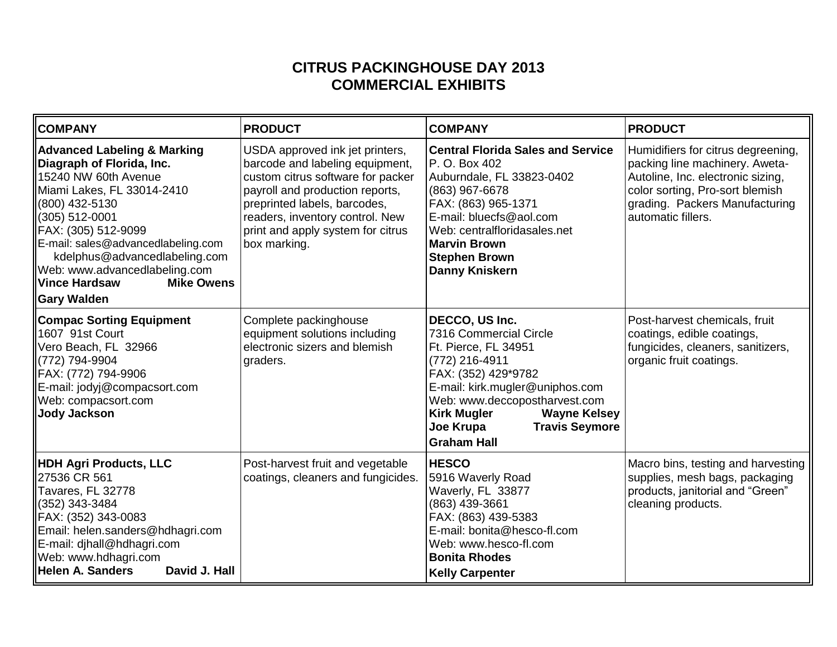## **CITRUS PACKINGHOUSE DAY 2013 COMMERCIAL EXHIBITS**

| <b>COMPANY</b>                                                                                                                                                                                                                                                                                                                                                  | <b>PRODUCT</b>                                                                                                                                                                                                                                                     | <b>COMPANY</b>                                                                                                                                                                                                                                                                         | <b>PRODUCT</b>                                                                                                                                                                                       |
|-----------------------------------------------------------------------------------------------------------------------------------------------------------------------------------------------------------------------------------------------------------------------------------------------------------------------------------------------------------------|--------------------------------------------------------------------------------------------------------------------------------------------------------------------------------------------------------------------------------------------------------------------|----------------------------------------------------------------------------------------------------------------------------------------------------------------------------------------------------------------------------------------------------------------------------------------|------------------------------------------------------------------------------------------------------------------------------------------------------------------------------------------------------|
| <b>Advanced Labeling &amp; Marking</b><br>Diagraph of Florida, Inc.<br>15240 NW 60th Avenue<br>Miami Lakes, FL 33014-2410<br>(800) 432-5130<br>(305) 512-0001<br>FAX: (305) 512-9099<br>E-mail: sales@advancedlabeling.com<br>kdelphus@advancedlabeling.com<br>Web: www.advancedlabeling.com<br><b>Vince Hardsaw</b><br><b>Mike Owens</b><br><b>Gary Walden</b> | USDA approved ink jet printers,<br>barcode and labeling equipment,<br>custom citrus software for packer<br>payroll and production reports,<br>preprinted labels, barcodes,<br>readers, inventory control. New<br>print and apply system for citrus<br>box marking. | <b>Central Florida Sales and Service</b><br>P. O. Box 402<br>Auburndale, FL 33823-0402<br>(863) 967-6678<br>FAX: (863) 965-1371<br>E-mail: bluecfs@aol.com<br>Web: centralfloridasales.net<br><b>Marvin Brown</b><br><b>Stephen Brown</b><br><b>Danny Kniskern</b>                     | Humidifiers for citrus degreening,<br>packing line machinery. Aweta-<br>Autoline, Inc. electronic sizing,<br>color sorting, Pro-sort blemish<br>grading. Packers Manufacturing<br>automatic fillers. |
| <b>Compac Sorting Equipment</b><br>1607 91st Court<br>Vero Beach, FL 32966<br>(772) 794-9904<br>FAX: (772) 794-9906<br>E-mail: jodyj@compacsort.com<br>Web: compacsort.com<br><b>Jody Jackson</b>                                                                                                                                                               | Complete packinghouse<br>equipment solutions including<br>electronic sizers and blemish<br>graders.                                                                                                                                                                | DECCO, US Inc.<br>7316 Commercial Circle<br>Ft. Pierce, FL 34951<br>(772) 216-4911<br>FAX: (352) 429*9782<br>E-mail: kirk.mugler@uniphos.com<br>Web: www.deccopostharvest.com<br><b>Kirk Mugler</b><br><b>Wayne Kelsey</b><br><b>Travis Seymore</b><br>Joe Krupa<br><b>Graham Hall</b> | Post-harvest chemicals, fruit<br>coatings, edible coatings,<br>fungicides, cleaners, sanitizers,<br>organic fruit coatings.                                                                          |
| <b>HDH Agri Products, LLC</b><br>27536 CR 561<br>Tavares, FL 32778<br>(352) 343-3484<br>FAX: (352) 343-0083<br>Email: helen.sanders@hdhagri.com<br>E-mail: djhall@hdhagri.com<br>Web: www.hdhagri.com<br><b>Helen A. Sanders</b><br>David J. Hall                                                                                                               | Post-harvest fruit and vegetable<br>coatings, cleaners and fungicides.                                                                                                                                                                                             | <b>HESCO</b><br>5916 Waverly Road<br>Waverly, FL 33877<br>(863) 439-3661<br>FAX: (863) 439-5383<br>E-mail: bonita@hesco-fl.com<br>Web: www.hesco-fl.com<br><b>Bonita Rhodes</b><br><b>Kelly Carpenter</b>                                                                              | Macro bins, testing and harvesting<br>supplies, mesh bags, packaging<br>products, janitorial and "Green"<br>cleaning products.                                                                       |